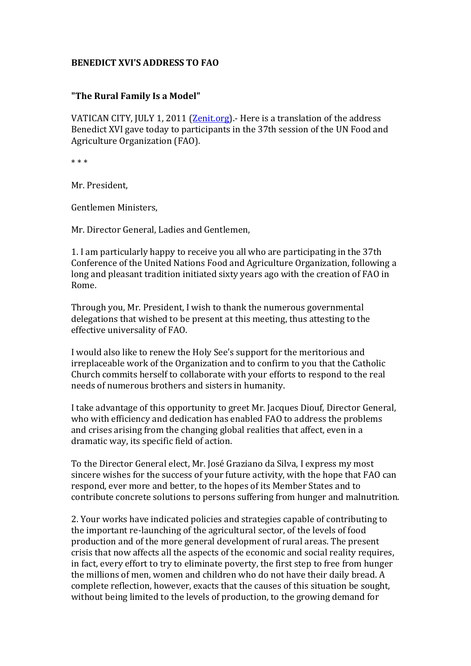## **BENEDICT XVI'S ADDRESS TO FAO**

## **"The Rural Family Is a Model"**

VATICAN CITY, JULY 1, 2011 [\(Zenit.org\)](http://www.zenit.org/) - Here is a translation of the address Benedict XVI gave today to participants in the 37th session of the UN Food and Agriculture Organization (FAO).

\* \* \*

Mr. President,

Gentlemen Ministers,

Mr. Director General, Ladies and Gentlemen,

1. I am particularly happy to receive you all who are participating in the 37th Conference of the United Nations Food and Agriculture Organization, following a long and pleasant tradition initiated sixty years ago with the creation of FAO in Rome.

Through you, Mr. President, I wish to thank the numerous governmental delegations that wished to be present at this meeting, thus attesting to the effective universality of FAO.

I would also like to renew the Holy See's support for the meritorious and irreplaceable work of the Organization and to confirm to you that the Catholic Church commits herself to collaborate with your efforts to respond to the real needs of numerous brothers and sisters in humanity.

I take advantage of this opportunity to greet Mr. Jacques Diouf, Director General, who with efficiency and dedication has enabled FAO to address the problems and crises arising from the changing global realities that affect, even in a dramatic way, its specific field of action.

To the Director General elect, Mr. José Graziano da Silva, I express my most sincere wishes for the success of your future activity, with the hope that FAO can respond, ever more and better, to the hopes of its Member States and to contribute concrete solutions to persons suffering from hunger and malnutrition.

2. Your works have indicated policies and strategies capable of contributing to the important re-launching of the agricultural sector, of the levels of food production and of the more general development of rural areas. The present crisis that now affects all the aspects of the economic and social reality requires, in fact, every effort to try to eliminate poverty, the first step to free from hunger the millions of men, women and children who do not have their daily bread. A complete reflection, however, exacts that the causes of this situation be sought, without being limited to the levels of production, to the growing demand for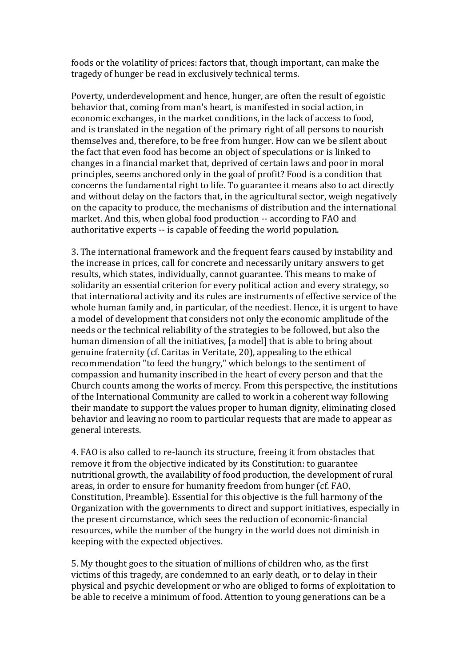foods or the volatility of prices: factors that, though important, can make the tragedy of hunger be read in exclusively technical terms.

Poverty, underdevelopment and hence, hunger, are often the result of egoistic behavior that, coming from man's heart, is manifested in social action, in economic exchanges, in the market conditions, in the lack of access to food, and is translated in the negation of the primary right of all persons to nourish themselves and, therefore, to be free from hunger. How can we be silent about the fact that even food has become an object of speculations or is linked to changes in a financial market that, deprived of certain laws and poor in moral principles, seems anchored only in the goal of profit? Food is a condition that concerns the fundamental right to life. To guarantee it means also to act directly and without delay on the factors that, in the agricultural sector, weigh negatively on the capacity to produce, the mechanisms of distribution and the international market. And this, when global food production -- according to FAO and authoritative experts -- is capable of feeding the world population.

3. The international framework and the frequent fears caused by instability and the increase in prices, call for concrete and necessarily unitary answers to get results, which states, individually, cannot guarantee. This means to make of solidarity an essential criterion for every political action and every strategy, so that international activity and its rules are instruments of effective service of the whole human family and, in particular, of the neediest. Hence, it is urgent to have a model of development that considers not only the economic amplitude of the needs or the technical reliability of the strategies to be followed, but also the human dimension of all the initiatives, [a model] that is able to bring about genuine fraternity (cf. Caritas in Veritate, 20), appealing to the ethical recommendation "to feed the hungry," which belongs to the sentiment of compassion and humanity inscribed in the heart of every person and that the Church counts among the works of mercy. From this perspective, the institutions of the International Community are called to work in a coherent way following their mandate to support the values proper to human dignity, eliminating closed behavior and leaving no room to particular requests that are made to appear as general interests.

4. FAO is also called to re-launch its structure, freeing it from obstacles that remove it from the objective indicated by its Constitution: to guarantee nutritional growth, the availability of food production, the development of rural areas, in order to ensure for humanity freedom from hunger (cf. FAO, Constitution, Preamble). Essential for this objective is the full harmony of the Organization with the governments to direct and support initiatives, especially in the present circumstance, which sees the reduction of economic-financial resources, while the number of the hungry in the world does not diminish in keeping with the expected objectives.

5. My thought goes to the situation of millions of children who, as the first victims of this tragedy, are condemned to an early death, or to delay in their physical and psychic development or who are obliged to forms of exploitation to be able to receive a minimum of food. Attention to young generations can be a